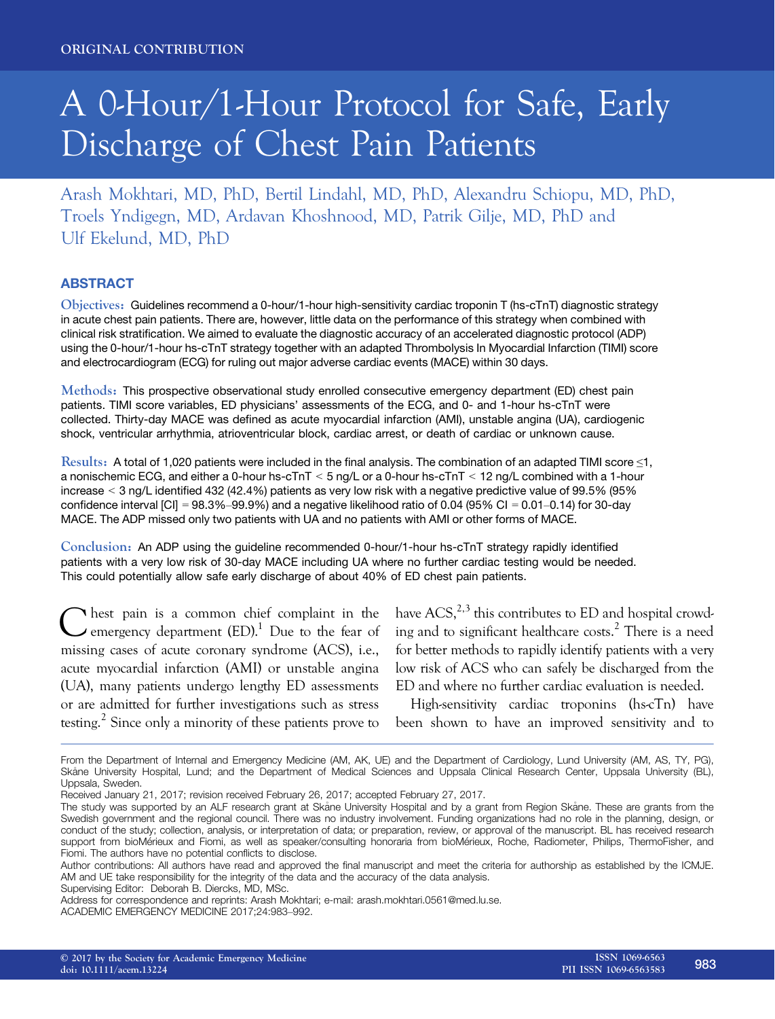# A 0-Hour/1-Hour Protocol for Safe, Early Discharge of Chest Pain Patients

Arash Mokhtari, MD, PhD, Bertil Lindahl, MD, PhD, Alexandru Schiopu, MD, PhD, Troels Yndigegn, MD, Ardavan Khoshnood, MD, Patrik Gilje, MD, PhD and Ulf Ekelund, MD, PhD

## **ABSTRACT**

Objectives: Guidelines recommend a 0-hour/1-hour high-sensitivity cardiac troponin T (hs-cTnT) diagnostic strategy in acute chest pain patients. There are, however, little data on the performance of this strategy when combined with clinical risk stratification. We aimed to evaluate the diagnostic accuracy of an accelerated diagnostic protocol (ADP) using the 0-hour/1-hour hs-cTnT strategy together with an adapted Thrombolysis In Myocardial Infarction (TIMI) score and electrocardiogram (ECG) for ruling out major adverse cardiac events (MACE) within 30 days.

Methods: This prospective observational study enrolled consecutive emergency department (ED) chest pain patients. TIMI score variables, ED physicians' assessments of the ECG, and 0- and 1-hour hs-cTnT were collected. Thirty-day MACE was defined as acute myocardial infarction (AMI), unstable angina (UA), cardiogenic shock, ventricular arrhythmia, atrioventricular block, cardiac arrest, or death of cardiac or unknown cause.

Results: A total of 1,020 patients were included in the final analysis. The combination of an adapted TIMI score ≤1, a nonischemic ECG, and either a 0-hour hs-cTnT < 5 ng/L or a 0-hour hs-cTnT < 12 ng/L combined with a 1-hour increase < 3 ng/L identified 432 (42.4%) patients as very low risk with a negative predictive value of 99.5% (95% confidence interval  $\text{[C I]} = 98.3\% - 99.9\%$  and a negative likelihood ratio of 0.04 (95% CI = 0.01–0.14) for 30-day MACE. The ADP missed only two patients with UA and no patients with AMI or other forms of MACE.

Conclusion: An ADP using the guideline recommended 0-hour/1-hour hs-cTnT strategy rapidly identified patients with a very low risk of 30-day MACE including UA where no further cardiac testing would be needed. This could potentially allow safe early discharge of about 40% of ED chest pain patients.

 $\bigcup$  hest pain is a common chief complaint in the emergency department (ED).<sup>1</sup> Due to the fear of missing cases of acute coronary syndrome (ACS), i.e., acute myocardial infarction (AMI) or unstable angina (UA), many patients undergo lengthy ED assessments or are admitted for further investigations such as stress testing.<sup>2</sup> Since only a minority of these patients prove to

have  $ACS<sub>1</sub><sup>2,3</sup>$  this contributes to ED and hospital crowding and to significant healthcare costs.<sup>2</sup> There is a need for better methods to rapidly identify patients with a very low risk of ACS who can safely be discharged from the ED and where no further cardiac evaluation is needed.

High-sensitivity cardiac troponins (hs-cTn) have been shown to have an improved sensitivity and to

Received January 21, 2017; revision received February 26, 2017; accepted February 27, 2017.

Supervising Editor: Deborah B. Diercks, MD, MSc.

From the Department of Internal and Emergency Medicine (AM, AK, UE) and the Department of Cardiology, Lund University (AM, AS, TY, PG), Skane University Hospital, Lund; and the Department of Medical Sciences and Uppsala Clinical Research Center, Uppsala University (BL), Uppsala, Sweden.

The study was supported by an ALF research grant at Skåne University Hospital and by a grant from Region Skåne. These are grants from the Swedish government and the regional council. There was no industry involvement. Funding organizations had no role in the planning, design, or conduct of the study; collection, analysis, or interpretation of data; or preparation, review, or approval of the manuscript. BL has received research support from bioMérieux and Fiomi, as well as speaker/consulting honoraria from bioMérieux, Roche, Radiometer, Philips, ThermoFisher, and Fiomi. The authors have no potential conflicts to disclose.

Author contributions: All authors have read and approved the final manuscript and meet the criteria for authorship as established by the ICMJE. AM and UE take responsibility for the integrity of the data and the accuracy of the data analysis.

Address for correspondence and reprints: Arash Mokhtari; e-mail: arash.mokhtari.0561@med.lu.se.

ACADEMIC EMERGENCY MEDICINE 2017;24:983–992.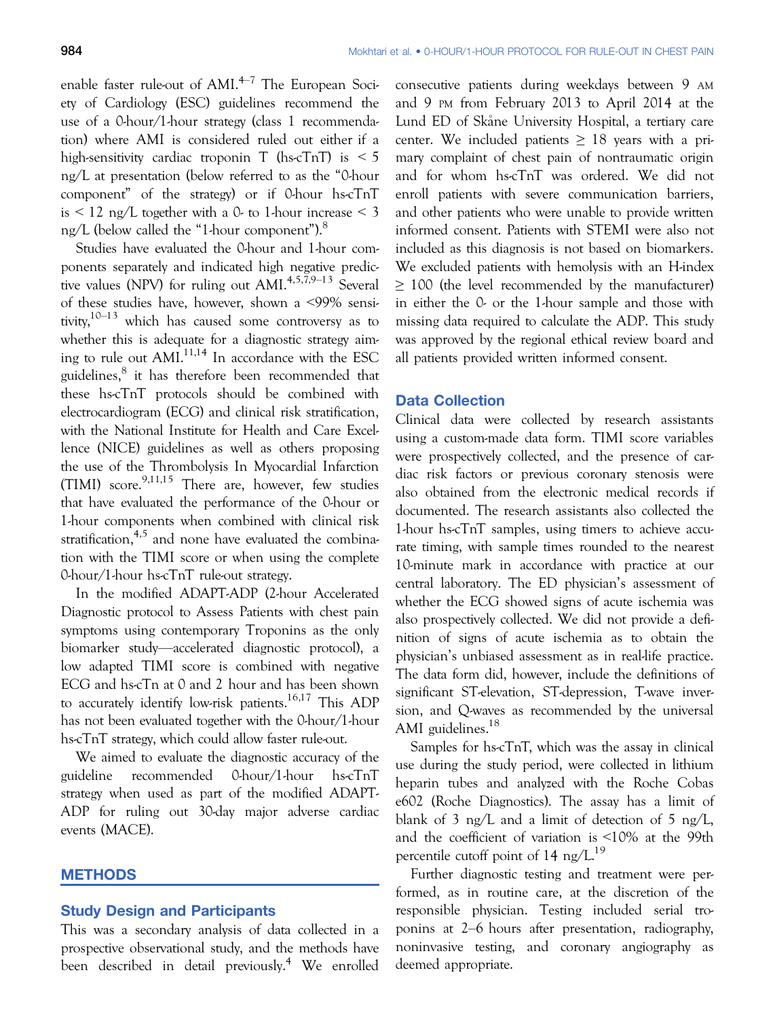enable faster rule-out of AMI.<sup>4-7</sup> The European Society of Cardiology (ESC) guidelines recommend the use of a 0-hour/1-hour strategy (class 1 recommendation) where AMI is considered ruled out either if a high-sensitivity cardiac troponin T (hs-cTnT) is  $\leq 5$ ng/L at presentation (below referred to as the "0-hour component" of the strategy) or if 0-hour hs-cTnT is  $\leq$  12 ng/L together with a 0- to 1-hour increase  $\leq$  3 ng/L (below called the "1-hour component"). $8$ 

Studies have evaluated the 0-hour and 1-hour components separately and indicated high negative predictive values (NPV) for ruling out AMI.<sup>4,5,7,9–13</sup> Several of these studies have, however, shown a <99% sensitivity,  $10-13$  which has caused some controversy as to whether this is adequate for a diagnostic strategy aiming to rule out  $AMI^{11,14}$  In accordance with the ESC guidelines,<sup>8</sup> it has therefore been recommended that these hs-cTnT protocols should be combined with electrocardiogram (ECG) and clinical risk stratification, with the National Institute for Health and Care Excellence (NICE) guidelines as well as others proposing the use of the Thrombolysis In Myocardial Infarction (TIMI) score. $^{9,11,15}$  There are, however, few studies that have evaluated the performance of the 0-hour or 1-hour components when combined with clinical risk stratification, $4.5$  and none have evaluated the combination with the TIMI score or when using the complete 0-hour/1-hour hs-cTnT rule-out strategy.

In the modified ADAPT-ADP (2-hour Accelerated Diagnostic protocol to Assess Patients with chest pain symptoms using contemporary Troponins as the only biomarker study—accelerated diagnostic protocol), a low adapted TIMI score is combined with negative ECG and hs-cTn at 0 and 2 hour and has been shown to accurately identify low-risk patients.<sup>16,17</sup> This ADP has not been evaluated together with the 0-hour/1-hour hs-cTnT strategy, which could allow faster rule-out.

We aimed to evaluate the diagnostic accuracy of the guideline recommended 0-hour/1-hour hs-cTnT strategy when used as part of the modified ADAPT-ADP for ruling out 30-day major adverse cardiac events (MACE).

#### **METHODS**

#### Study Design and Participants

This was a secondary analysis of data collected in a prospective observational study, and the methods have been described in detail previously.<sup>4</sup> We enrolled consecutive patients during weekdays between 9 AM and 9 PM from February 2013 to April 2014 at the Lund ED of Skane University Hospital, a tertiary care center. We included patients  $\geq 18$  years with a primary complaint of chest pain of nontraumatic origin and for whom hs-cTnT was ordered. We did not enroll patients with severe communication barriers, and other patients who were unable to provide written informed consent. Patients with STEMI were also not included as this diagnosis is not based on biomarkers. We excluded patients with hemolysis with an H-index  $\geq$  100 (the level recommended by the manufacturer) in either the 0- or the 1-hour sample and those with missing data required to calculate the ADP. This study was approved by the regional ethical review board and all patients provided written informed consent.

#### Data Collection

Clinical data were collected by research assistants using a custom-made data form. TIMI score variables were prospectively collected, and the presence of cardiac risk factors or previous coronary stenosis were also obtained from the electronic medical records if documented. The research assistants also collected the 1-hour hs-cTnT samples, using timers to achieve accurate timing, with sample times rounded to the nearest 10-minute mark in accordance with practice at our central laboratory. The ED physician's assessment of whether the ECG showed signs of acute ischemia was also prospectively collected. We did not provide a definition of signs of acute ischemia as to obtain the physician's unbiased assessment as in real-life practice. The data form did, however, include the definitions of significant ST-elevation, ST-depression, T-wave inversion, and Q-waves as recommended by the universal AMI guidelines.<sup>18</sup>

Samples for hs-cTnT, which was the assay in clinical use during the study period, were collected in lithium heparin tubes and analyzed with the Roche Cobas e602 (Roche Diagnostics). The assay has a limit of blank of 3 ng/L and a limit of detection of 5 ng/L, and the coefficient of variation is <10% at the 99th percentile cutoff point of 14 ng/ $L^{19}$ 

Further diagnostic testing and treatment were performed, as in routine care, at the discretion of the responsible physician. Testing included serial troponins at 2–6 hours after presentation, radiography, noninvasive testing, and coronary angiography as deemed appropriate.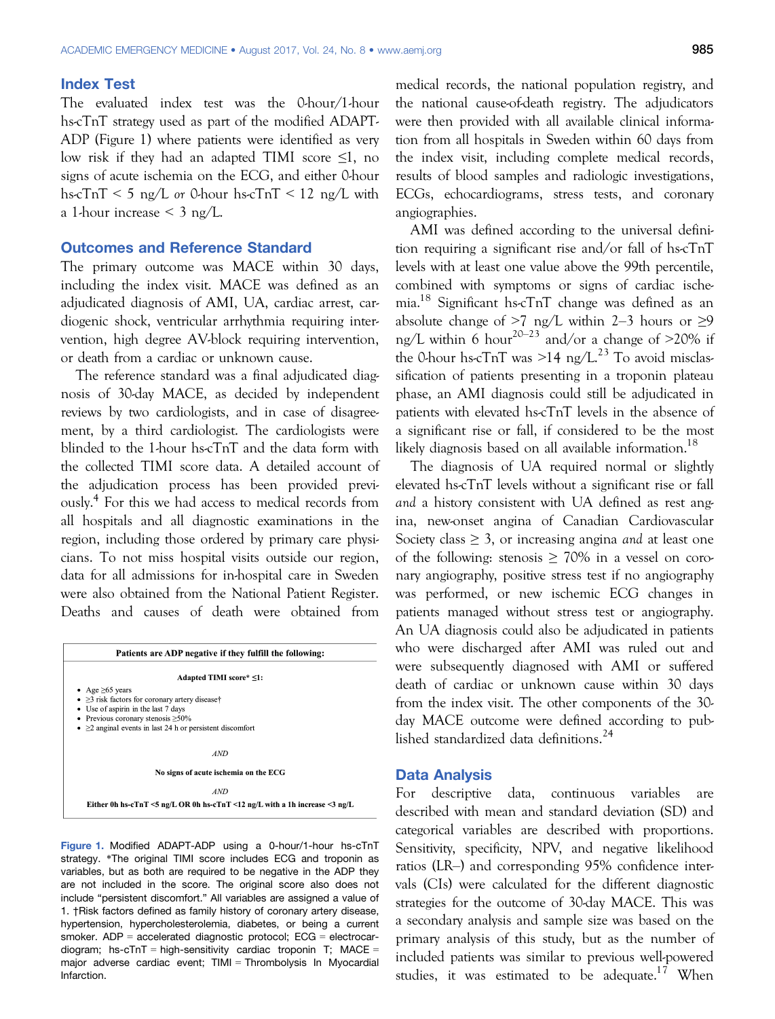#### Index Test

The evaluated index test was the 0-hour/1-hour hs-cTnT strategy used as part of the modified ADAPT-ADP (Figure 1) where patients were identified as very low risk if they had an adapted TIMI score ≤1, no signs of acute ischemia on the ECG, and either 0-hour hs-c $TnT < 5$  ng/L or 0-hour hs-c $TnT < 12$  ng/L with a 1-hour increase  $\leq$  3 ng/L.

#### Outcomes and Reference Standard

The primary outcome was MACE within 30 days, including the index visit. MACE was defined as an adjudicated diagnosis of AMI, UA, cardiac arrest, cardiogenic shock, ventricular arrhythmia requiring intervention, high degree AV-block requiring intervention, or death from a cardiac or unknown cause.

The reference standard was a final adjudicated diagnosis of 30-day MACE, as decided by independent reviews by two cardiologists, and in case of disagreement, by a third cardiologist. The cardiologists were blinded to the 1-hour hs-cTnT and the data form with the collected TIMI score data. A detailed account of the adjudication process has been provided previously.<sup>4</sup> For this we had access to medical records from all hospitals and all diagnostic examinations in the region, including those ordered by primary care physicians. To not miss hospital visits outside our region, data for all admissions for in-hospital care in Sweden were also obtained from the National Patient Register. Deaths and causes of death were obtained from



Figure 1. Modified ADAPT-ADP using a 0-hour/1-hour hs-cTnT strategy. \*The original TIMI score includes ECG and troponin as variables, but as both are required to be negative in the ADP they are not included in the score. The original score also does not include "persistent discomfort." All variables are assigned a value of 1. †Risk factors defined as family history of coronary artery disease, hypertension, hypercholesterolemia, diabetes, or being a current smoker. ADP = accelerated diagnostic protocol; ECG = electrocardiogram; hs-cTnT = high-sensitivity cardiac troponin T; MACE = major adverse cardiac event; TIMI = Thrombolysis In Myocardial Infarction.

medical records, the national population registry, and the national cause-of-death registry. The adjudicators were then provided with all available clinical information from all hospitals in Sweden within 60 days from the index visit, including complete medical records, results of blood samples and radiologic investigations, ECGs, echocardiograms, stress tests, and coronary angiographies.

AMI was defined according to the universal definition requiring a significant rise and/or fall of hs-cTnT levels with at least one value above the 99th percentile, combined with symptoms or signs of cardiac ischemia.18 Significant hs-cTnT change was defined as an absolute change of  $\geq 7$  ng/L within 2–3 hours or  $\geq 9$ ng/L within 6 hour<sup>20–23</sup> and/or a change of  $>$ 20% if the 0-hour hs-cTnT was  $>14$  ng/L<sup>23</sup> To avoid misclassification of patients presenting in a troponin plateau phase, an AMI diagnosis could still be adjudicated in patients with elevated hs-cTnT levels in the absence of a significant rise or fall, if considered to be the most likely diagnosis based on all available information.<sup>18</sup>

The diagnosis of UA required normal or slightly elevated hs-cTnT levels without a significant rise or fall and a history consistent with UA defined as rest angina, new-onset angina of Canadian Cardiovascular Society class  $> 3$ , or increasing angina and at least one of the following: stenosis  $\geq$  70% in a vessel on coronary angiography, positive stress test if no angiography was performed, or new ischemic ECG changes in patients managed without stress test or angiography. An UA diagnosis could also be adjudicated in patients who were discharged after AMI was ruled out and were subsequently diagnosed with AMI or suffered death of cardiac or unknown cause within 30 days from the index visit. The other components of the 30 day MACE outcome were defined according to published standardized data definitions.<sup>24</sup>

#### Data Analysis

For descriptive data, continuous variables are described with mean and standard deviation (SD) and categorical variables are described with proportions. Sensitivity, specificity, NPV, and negative likelihood ratios (LR–) and corresponding 95% confidence intervals (CIs) were calculated for the different diagnostic strategies for the outcome of 30-day MACE. This was a secondary analysis and sample size was based on the primary analysis of this study, but as the number of included patients was similar to previous well-powered studies, it was estimated to be adequate.<sup>17</sup> When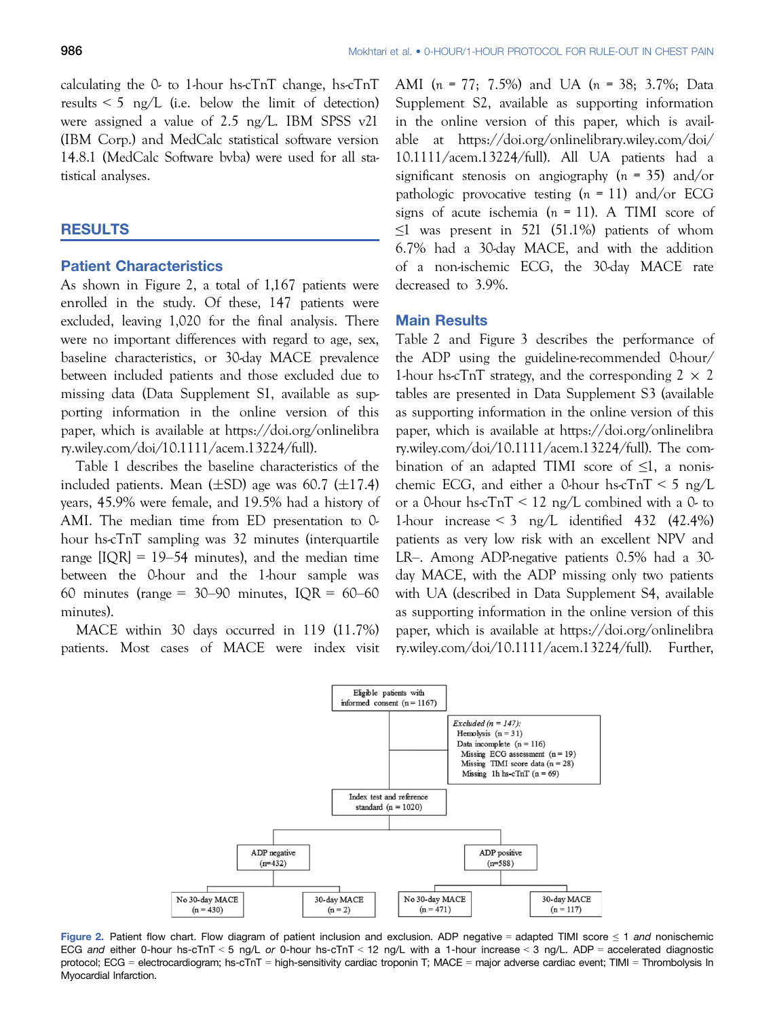calculating the 0- to 1-hour hs-cTnT change, hs-cTnT results  $\leq 5$  ng/L (i.e. below the limit of detection) were assigned a value of 2.5 ng/L. IBM SPSS v21 (IBM Corp.) and MedCalc statistical software version 14.8.1 (MedCalc Software bvba) were used for all statistical analyses.

#### RESULTS

#### Patient Characteristics

As shown in Figure 2, a total of 1,167 patients were enrolled in the study. Of these, 147 patients were excluded, leaving 1,020 for the final analysis. There were no important differences with regard to age, sex, baseline characteristics, or 30-day MACE prevalence between included patients and those excluded due to missing data (Data Supplement S1, available as supporting information in the online version of this paper, which is available at [https://doi.org/onlinelibra](https://doi.org/onlinelibrary.wiley.com/doi/10.1111/acem.13224/full) [ry.wiley.com/doi/10.1111/acem.13224/full](https://doi.org/onlinelibrary.wiley.com/doi/10.1111/acem.13224/full)).

Table 1 describes the baseline characteristics of the included patients. Mean  $(\pm SD)$  age was 60.7 ( $\pm 17.4$ ) years, 45.9% were female, and 19.5% had a history of AMI. The median time from ED presentation to 0hour hs-cTnT sampling was 32 minutes (interquartile range  $[IQR] = 19-54$  minutes), and the median time between the 0-hour and the 1-hour sample was 60 minutes (range =  $30-90$  minutes,  $IQR = 60-60$ minutes).

MACE within 30 days occurred in 119 (11.7%) patients. Most cases of MACE were index visit AMI (n = 77; 7.5%) and UA (n = 38; 3.7%; Data Supplement S2, available as supporting information in the online version of this paper, which is available at [https://doi.org/onlinelibrary.wiley.com/doi/](https://doi.org/onlinelibrary.wiley.com/doi/10.1111/acem.13224/full) [10.1111/acem.13224/full](https://doi.org/onlinelibrary.wiley.com/doi/10.1111/acem.13224/full)). All UA patients had a significant stenosis on angiography ( $n = 35$ ) and/or pathologic provocative testing  $(n = 11)$  and/or ECG signs of acute ischemia ( $n = 11$ ). A TIMI score of  $\leq$ 1 was present in 521 (51.1%) patients of whom 6.7% had a 30-day MACE, and with the addition of a non-ischemic ECG, the 30-day MACE rate decreased to 3.9%.

### Main Results

Table 2 and Figure 3 describes the performance of the ADP using the guideline-recommended 0-hour/ 1-hour hs-cTnT strategy, and the corresponding  $2 \times 2$ tables are presented in Data Supplement S3 (available as supporting information in the online version of this paper, which is available at [https://doi.org/onlinelibra](https://doi.org/onlinelibrary.wiley.com/doi/10.1111/acem.13224/full) [ry.wiley.com/doi/10.1111/acem.13224/full](https://doi.org/onlinelibrary.wiley.com/doi/10.1111/acem.13224/full)). The combination of an adapted TIMI score of  $\leq$ 1, a nonischemic ECG, and either a 0-hour hs- $cTnT \leq 5$  ng/L or a 0-hour hs-c $TnT \n\leq 12$  ng/L combined with a 0- to 1-hour increase  $\leq$  3 ng/L identified 432 (42.4%) patients as very low risk with an excellent NPV and LR–. Among ADP-negative patients 0.5% had a 30 day MACE, with the ADP missing only two patients with UA (described in Data Supplement S4, available as supporting information in the online version of this paper, which is available at [https://doi.org/onlinelibra](https://doi.org/onlinelibrary.wiley.com/doi/10.1111/acem.13224/full) [ry.wiley.com/doi/10.1111/acem.13224/full](https://doi.org/onlinelibrary.wiley.com/doi/10.1111/acem.13224/full)). Further,



Figure 2. Patient flow chart. Flow diagram of patient inclusion and exclusion. ADP negative = adapted TIMI score  $\leq 1$  and nonischemic ECG and either 0-hour hs-cTnT < 5 ng/L or 0-hour hs-cTnT < 12 ng/L with a 1-hour increase < 3 ng/L. ADP = accelerated diagnostic protocol; ECG = electrocardiogram; hs-cTnT = high-sensitivity cardiac troponin T; MACE = major adverse cardiac event; TIMI = Thrombolysis In Myocardial Infarction.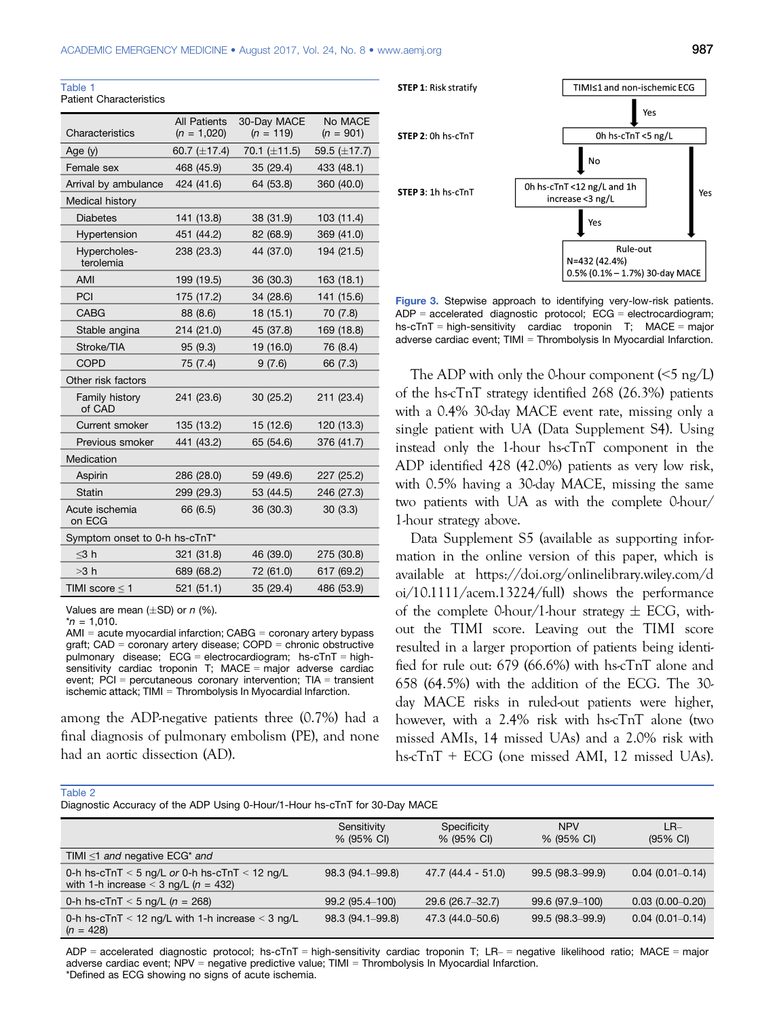| <b>Patient Characteristics</b> |                                      |                            |                        |  |  |
|--------------------------------|--------------------------------------|----------------------------|------------------------|--|--|
| Characteristics                | <b>All Patients</b><br>$(n = 1,020)$ | 30-Day MACE<br>$(n = 119)$ | No MACE<br>$(n = 901)$ |  |  |
| Age $(y)$                      | 60.7 $(\pm 17.4)$                    | 70.1 $(\pm 11.5)$          | 59.5 (±17.7)           |  |  |
| Female sex                     | 468 (45.9)                           | 35 (29.4)                  | 433 (48.1)             |  |  |
| Arrival by ambulance           | 424 (41.6)                           | 64 (53.8)                  | 360 (40.0)             |  |  |
| Medical history                |                                      |                            |                        |  |  |
| <b>Diabetes</b>                | 141 (13.8)                           | 38 (31.9)                  | 103 (11.4)             |  |  |
| Hypertension                   | 451 (44.2)                           | 82 (68.9)                  | 369 (41.0)             |  |  |
| Hypercholes-<br>terolemia      | 238 (23.3)                           | 44 (37.0)                  | 194 (21.5)             |  |  |
| AMI                            | 199 (19.5)                           | 36 (30.3)                  | 163 (18.1)             |  |  |
| PCI                            | 175 (17.2)                           | 34 (28.6)                  | 141 (15.6)             |  |  |
| <b>CABG</b>                    | 88 (8.6)                             | 18 (15.1)                  | 70 (7.8)               |  |  |
| Stable angina                  | 214 (21.0)                           | 45 (37.8)                  | 169 (18.8)             |  |  |
| Stroke/TIA                     | 95(9.3)                              | 19 (16.0)                  | 76 (8.4)               |  |  |
| <b>COPD</b>                    | 75 (7.4)                             | 9(7.6)                     | 66 (7.3)               |  |  |
| Other risk factors             |                                      |                            |                        |  |  |
| Family history<br>of CAD       | 241 (23.6)                           | 30(25.2)                   | 211 (23.4)             |  |  |
| <b>Current smoker</b>          | 135 (13.2)                           | 15 (12.6)                  | 120 (13.3)             |  |  |
| Previous smoker                | 441 (43.2)                           | 65 (54.6)                  | 376 (41.7)             |  |  |
| Medication                     |                                      |                            |                        |  |  |
| Aspirin                        | 286 (28.0)                           | 59 (49.6)                  | 227 (25.2)             |  |  |
| <b>Statin</b>                  | 299 (29.3)                           | 53 (44.5)                  | 246 (27.3)             |  |  |
| Acute ischemia<br>on ECG       | 66 (6.5)                             | 36 (30.3)                  | 30(3.3)                |  |  |
| Symptom onset to 0-h hs-cTnT*  |                                      |                            |                        |  |  |
| $<$ 3 h                        | 321 (31.8)                           | 46 (39.0)                  | 275 (30.8)             |  |  |
| $>3$ h                         | 689 (68.2)                           | 72 (61.0)                  | 617 (69.2)             |  |  |
| TIMI score $\leq$ 1            | 521 (51.1)                           | 35 (29.4)                  | 486 (53.9)             |  |  |
|                                |                                      |                            |                        |  |  |

Values are mean  $(\pm SD)$  or n (%).

Table 1

AMI = acute myocardial infarction; CABG = coronary artery bypass graft; CAD = coronary artery disease; COPD = chronic obstructive pulmonary disease;  $ECG = electrocardiogram$ ; hs-cTnT = highsensitivity cardiac troponin T; MACE = major adverse cardiac event;  $\overline{PCI}$  = percutaneous coronary intervention;  $\overline{TA}$  = transient ischemic attack; TIMI = Thrombolysis In Myocardial Infarction.

among the ADP-negative patients three (0.7%) had a final diagnosis of pulmonary embolism (PE), and none had an aortic dissection (AD).



Figure 3. Stepwise approach to identifying very-low-risk patients.  $ADP = accelerated$  diagnostic protocol;  $ECG = electrocardiogram$ ; hs-cTnT = high-sensitivity cardiac troponin T; MACE = major adverse cardiac event; TIMI = Thrombolysis In Myocardial Infarction.

The ADP with only the 0-hour component  $(<5$  ng/L) of the hs-cTnT strategy identified 268 (26.3%) patients with a 0.4% 30-day MACE event rate, missing only a single patient with UA (Data Supplement S4). Using instead only the 1-hour hs-cTnT component in the ADP identified 428 (42.0%) patients as very low risk, with 0.5% having a 30-day MACE, missing the same two patients with UA as with the complete 0-hour/ 1-hour strategy above.

Data Supplement S5 (available as supporting information in the online version of this paper, which is available at [https://doi.org/onlinelibrary.wiley.com/d](https://doi.org/onlinelibrary.wiley.com/doi/10.1111/acem.13224/full) [oi/10.1111/acem.13224/full\)](https://doi.org/onlinelibrary.wiley.com/doi/10.1111/acem.13224/full) shows the performance of the complete 0-hour/1-hour strategy  $\pm$  ECG, without the TIMI score. Leaving out the TIMI score resulted in a larger proportion of patients being identified for rule out: 679 (66.6%) with hs-cTnT alone and 658 (64.5%) with the addition of the ECG. The 30 day MACE risks in ruled-out patients were higher, however, with a 2.4% risk with hs-cTnT alone (two missed AMIs, 14 missed UAs) and a 2.0% risk with hs-cTnT + ECG (one missed AMI, 12 missed UAs).

#### Table 2

Diagnostic Accuracy of the ADP Using 0-Hour/1-Hour hs-cTnT for 30-Day MACE

|                                                                                                 | Sensitivity<br>% (95% CI) | Specificity<br>% (95% CI) | <b>NPV</b><br>% (95% CI) | $LR-$<br>$(95% \text{ Cl})$ |
|-------------------------------------------------------------------------------------------------|---------------------------|---------------------------|--------------------------|-----------------------------|
| TIMI $\leq$ 1 and negative ECG* and                                                             |                           |                           |                          |                             |
| 0-h hs-c $TnT < 5$ ng/L or 0-h hs-c $TnT < 12$ ng/L<br>with 1-h increase < 3 ng/L ( $n = 432$ ) | 98.3 (94.1-99.8)          | $47.7(44.4 - 51.0)$       | 99.5 (98.3-99.9)         | $0.04(0.01 - 0.14)$         |
| 0-h hs-cTnT < 5 ng/L $(n = 268)$                                                                | 99.2 (95.4-100)           | 29.6 (26.7-32.7)          | 99.6 (97.9-100)          | $0.03(0.00-0.20)$           |
| 0-h hs-cTnT < 12 ng/L with 1-h increase < 3 ng/L<br>$(n = 428)$                                 | 98.3 (94.1-99.8)          | 47.3 (44.0–50.6)          | 99.5 (98.3-99.9)         | $0.04(0.01 - 0.14)$         |

ADP = accelerated diagnostic protocol; hs-cTnT = high-sensitivity cardiac troponin T; LR– = negative likelihood ratio; MACE = major adverse cardiac event; NPV = negative predictive value; TIMI = Thrombolysis In Myocardial Infarction. \*Defined as ECG showing no signs of acute ischemia.

 $n = 1,010$ .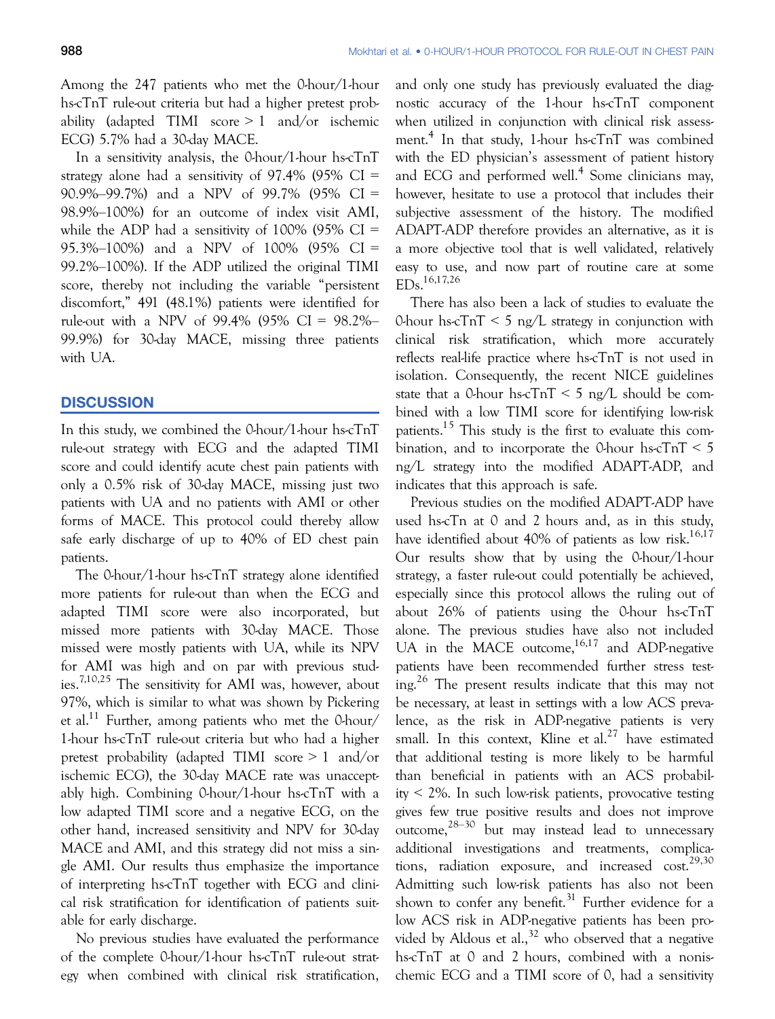In a sensitivity analysis, the 0-hour/1-hour hs-cTnT strategy alone had a sensitivity of  $97.4\%$  ( $95\%$  CI = 90.9%–99.7%) and a NPV of 99.7% (95% CI = 98.9%–100%) for an outcome of index visit AMI, while the ADP had a sensitivity of 100% (95%  $CI =$ 95.3%–100%) and a NPV of 100% (95% CI = 99.2%–100%). If the ADP utilized the original TIMI score, thereby not including the variable "persistent discomfort," 491 (48.1%) patients were identified for rule-out with a NPV of 99.4% (95% CI =  $98.2\%$ 99.9%) for 30-day MACE, missing three patients with UA.

## **DISCUSSION**

In this study, we combined the 0-hour/1-hour hs-cTnT rule-out strategy with ECG and the adapted TIMI score and could identify acute chest pain patients with only a 0.5% risk of 30-day MACE, missing just two patients with UA and no patients with AMI or other forms of MACE. This protocol could thereby allow safe early discharge of up to 40% of ED chest pain patients.

The 0-hour/1-hour hs-cTnT strategy alone identified more patients for rule-out than when the ECG and adapted TIMI score were also incorporated, but missed more patients with 30-day MACE. Those missed were mostly patients with UA, while its NPV for AMI was high and on par with previous studies.7,10,25 The sensitivity for AMI was, however, about 97%, which is similar to what was shown by Pickering et al.<sup>11</sup> Further, among patients who met the 0-hour/ 1-hour hs-cTnT rule-out criteria but who had a higher pretest probability (adapted TIMI score > 1 and/or ischemic ECG), the 30-day MACE rate was unacceptably high. Combining 0-hour/1-hour hs-cTnT with a low adapted TIMI score and a negative ECG, on the other hand, increased sensitivity and NPV for 30-day MACE and AMI, and this strategy did not miss a single AMI. Our results thus emphasize the importance of interpreting hs-cTnT together with ECG and clinical risk stratification for identification of patients suitable for early discharge.

No previous studies have evaluated the performance of the complete 0-hour/1-hour hs-cTnT rule-out strategy when combined with clinical risk stratification, and only one study has previously evaluated the diagnostic accuracy of the 1-hour hs-cTnT component when utilized in conjunction with clinical risk assessment.<sup>4</sup> In that study, 1-hour hs-cTnT was combined with the ED physician's assessment of patient history and ECG and performed well.<sup>4</sup> Some clinicians may, however, hesitate to use a protocol that includes their subjective assessment of the history. The modified ADAPT-ADP therefore provides an alternative, as it is a more objective tool that is well validated, relatively easy to use, and now part of routine care at some EDs.16,17,26

There has also been a lack of studies to evaluate the 0-hour hs-c $TnT \leq 5$  ng/L strategy in conjunction with clinical risk stratification, which more accurately reflects real-life practice where hs-cTnT is not used in isolation. Consequently, the recent NICE guidelines state that a 0-hour hs- $cTnT \le 5$  ng/L should be combined with a low TIMI score for identifying low-risk patients.<sup>15</sup> This study is the first to evaluate this combination, and to incorporate the 0-hour hs- $cTnT < 5$ ng/L strategy into the modified ADAPT-ADP, and indicates that this approach is safe.

Previous studies on the modified ADAPT-ADP have used hs-cTn at 0 and 2 hours and, as in this study, have identified about 40% of patients as low risk.<sup>16,17</sup> Our results show that by using the 0-hour/1-hour strategy, a faster rule-out could potentially be achieved, especially since this protocol allows the ruling out of about 26% of patients using the 0-hour hs-cTnT alone. The previous studies have also not included UA in the MACE outcome, $16,17$  and ADP-negative patients have been recommended further stress testing.<sup>26</sup> The present results indicate that this may not be necessary, at least in settings with a low ACS prevalence, as the risk in ADP-negative patients is very small. In this context, Kline et al.<sup>27</sup> have estimated that additional testing is more likely to be harmful than beneficial in patients with an ACS probability < 2%. In such low-risk patients, provocative testing gives few true positive results and does not improve outcome,28–<sup>30</sup> but may instead lead to unnecessary additional investigations and treatments, complications, radiation exposure, and increased  $cost.^{29,30}$ Admitting such low-risk patients has also not been shown to confer any benefit.<sup>31</sup> Further evidence for a low ACS risk in ADP-negative patients has been provided by Aldous et al., $32$  who observed that a negative hs-cTnT at 0 and 2 hours, combined with a nonischemic ECG and a TIMI score of 0, had a sensitivity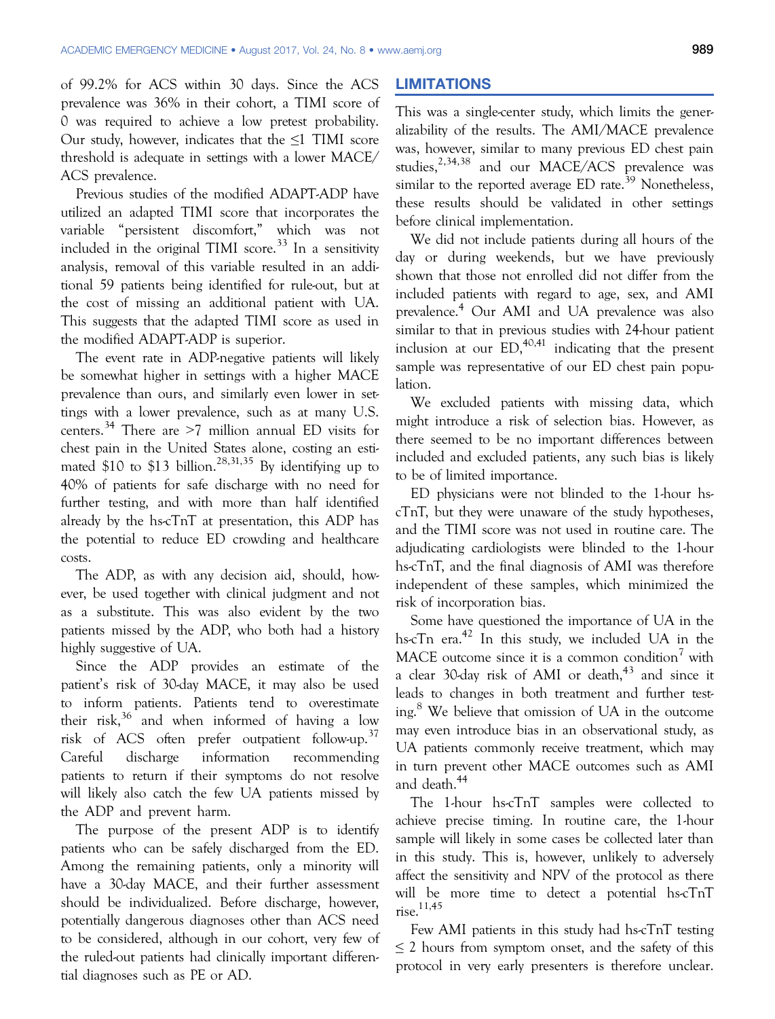of 99.2% for ACS within 30 days. Since the ACS prevalence was 36% in their cohort, a TIMI score of 0 was required to achieve a low pretest probability. Our study, however, indicates that the  $\leq$ 1 TIMI score threshold is adequate in settings with a lower MACE/ ACS prevalence.

Previous studies of the modified ADAPT-ADP have utilized an adapted TIMI score that incorporates the variable "persistent discomfort," which was not included in the original TIMI score. $33$  In a sensitivity analysis, removal of this variable resulted in an additional 59 patients being identified for rule-out, but at the cost of missing an additional patient with UA. This suggests that the adapted TIMI score as used in the modified ADAPT-ADP is superior.

The event rate in ADP-negative patients will likely be somewhat higher in settings with a higher MACE prevalence than ours, and similarly even lower in settings with a lower prevalence, such as at many U.S. centers.<sup>34</sup> There are  $>7$  million annual ED visits for chest pain in the United States alone, costing an estimated \$10 to \$13 billion.<sup>28,31,35</sup> By identifying up to 40% of patients for safe discharge with no need for further testing, and with more than half identified already by the hs-cTnT at presentation, this ADP has the potential to reduce ED crowding and healthcare costs.

The ADP, as with any decision aid, should, however, be used together with clinical judgment and not as a substitute. This was also evident by the two patients missed by the ADP, who both had a history highly suggestive of UA.

Since the ADP provides an estimate of the patient's risk of 30-day MACE, it may also be used to inform patients. Patients tend to overestimate their risk, $36$  and when informed of having a low risk of ACS often prefer outpatient follow-up.<sup>37</sup> Careful discharge information recommending patients to return if their symptoms do not resolve will likely also catch the few UA patients missed by the ADP and prevent harm.

The purpose of the present ADP is to identify patients who can be safely discharged from the ED. Among the remaining patients, only a minority will have a 30-day MACE, and their further assessment should be individualized. Before discharge, however, potentially dangerous diagnoses other than ACS need to be considered, although in our cohort, very few of the ruled-out patients had clinically important differential diagnoses such as PE or AD.

## LIMITATIONS

This was a single-center study, which limits the generalizability of the results. The AMI/MACE prevalence was, however, similar to many previous ED chest pain studies, $2,34,38$  and our MACE/ACS prevalence was similar to the reported average  $ED$  rate.<sup>39</sup> Nonetheless, these results should be validated in other settings before clinical implementation.

We did not include patients during all hours of the day or during weekends, but we have previously shown that those not enrolled did not differ from the included patients with regard to age, sex, and AMI prevalence.<sup>4</sup> Our AMI and UA prevalence was also similar to that in previous studies with 24-hour patient inclusion at our  $ED<sub>1</sub><sup>40,41</sup>$  indicating that the present sample was representative of our ED chest pain population.

We excluded patients with missing data, which might introduce a risk of selection bias. However, as there seemed to be no important differences between included and excluded patients, any such bias is likely to be of limited importance.

ED physicians were not blinded to the 1-hour hscTnT, but they were unaware of the study hypotheses, and the TIMI score was not used in routine care. The adjudicating cardiologists were blinded to the 1-hour hs-cTnT, and the final diagnosis of AMI was therefore independent of these samples, which minimized the risk of incorporation bias.

Some have questioned the importance of UA in the hs-c $Tn$  era.<sup>42</sup> In this study, we included UA in the MACE outcome since it is a common condition<sup>7</sup> with a clear 30-day risk of AMI or death, $43$  and since it leads to changes in both treatment and further testing.<sup>8</sup> We believe that omission of UA in the outcome may even introduce bias in an observational study, as UA patients commonly receive treatment, which may in turn prevent other MACE outcomes such as AMI and death.<sup>44</sup>

The 1-hour hs-cTnT samples were collected to achieve precise timing. In routine care, the 1-hour sample will likely in some cases be collected later than in this study. This is, however, unlikely to adversely affect the sensitivity and NPV of the protocol as there will be more time to detect a potential hs-cTnT rise.11,45

Few AMI patients in this study had hs-cTnT testing  $\leq$  2 hours from symptom onset, and the safety of this protocol in very early presenters is therefore unclear.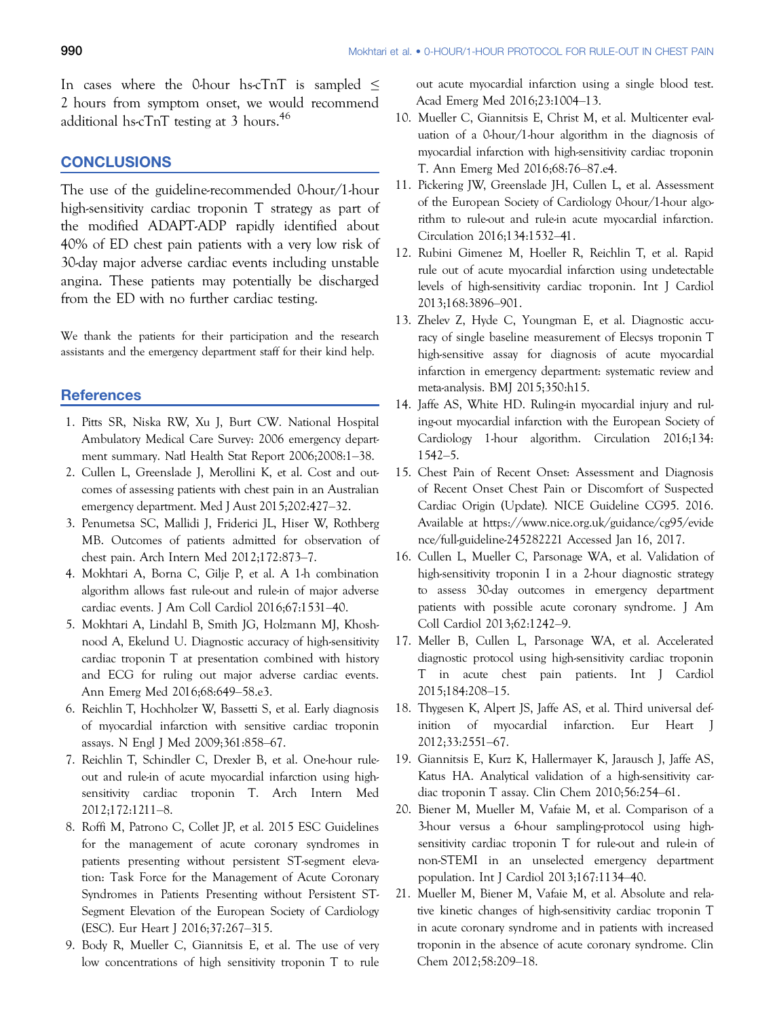In cases where the 0-hour hs-cTnT is sampled  $\leq$ 2 hours from symptom onset, we would recommend additional hs-c $TnT$  testing at 3 hours.<sup>46</sup>

### **CONCLUSIONS**

The use of the guideline-recommended 0-hour/1-hour high-sensitivity cardiac troponin T strategy as part of the modified ADAPT-ADP rapidly identified about 40% of ED chest pain patients with a very low risk of 30-day major adverse cardiac events including unstable angina. These patients may potentially be discharged from the ED with no further cardiac testing.

We thank the patients for their participation and the research assistants and the emergency department staff for their kind help.

#### **References**

- 1. Pitts SR, Niska RW, Xu J, Burt CW. National Hospital Ambulatory Medical Care Survey: 2006 emergency department summary. Natl Health Stat Report 2006;2008:1–38.
- 2. Cullen L, Greenslade J, Merollini K, et al. Cost and outcomes of assessing patients with chest pain in an Australian emergency department. Med J Aust 2015;202:427–32.
- 3. Penumetsa SC, Mallidi J, Friderici JL, Hiser W, Rothberg MB. Outcomes of patients admitted for observation of chest pain. Arch Intern Med 2012;172:873–7.
- 4. Mokhtari A, Borna C, Gilje P, et al. A 1-h combination algorithm allows fast rule-out and rule-in of major adverse cardiac events. J Am Coll Cardiol 2016;67:1531–40.
- 5. Mokhtari A, Lindahl B, Smith JG, Holzmann MJ, Khoshnood A, Ekelund U. Diagnostic accuracy of high-sensitivity cardiac troponin T at presentation combined with history and ECG for ruling out major adverse cardiac events. Ann Emerg Med 2016;68:649–58.e3.
- 6. Reichlin T, Hochholzer W, Bassetti S, et al. Early diagnosis of myocardial infarction with sensitive cardiac troponin assays. N Engl J Med 2009;361:858–67.
- 7. Reichlin T, Schindler C, Drexler B, et al. One-hour ruleout and rule-in of acute myocardial infarction using highsensitivity cardiac troponin T. Arch Intern Med 2012;172:1211–8.
- 8. Roffi M, Patrono C, Collet JP, et al. 2015 ESC Guidelines for the management of acute coronary syndromes in patients presenting without persistent ST-segment elevation: Task Force for the Management of Acute Coronary Syndromes in Patients Presenting without Persistent ST-Segment Elevation of the European Society of Cardiology (ESC). Eur Heart J 2016;37:267–315.
- 9. Body R, Mueller C, Giannitsis E, et al. The use of very low concentrations of high sensitivity troponin T to rule

out acute myocardial infarction using a single blood test. Acad Emerg Med 2016;23:1004–13.

- 10. Mueller C, Giannitsis E, Christ M, et al. Multicenter evaluation of a 0-hour/1-hour algorithm in the diagnosis of myocardial infarction with high-sensitivity cardiac troponin T. Ann Emerg Med 2016;68:76–87.e4.
- 11. Pickering JW, Greenslade JH, Cullen L, et al. Assessment of the European Society of Cardiology 0-hour/1-hour algorithm to rule-out and rule-in acute myocardial infarction. Circulation 2016;134:1532–41.
- 12. Rubini Gimenez M, Hoeller R, Reichlin T, et al. Rapid rule out of acute myocardial infarction using undetectable levels of high-sensitivity cardiac troponin. Int J Cardiol 2013;168:3896–901.
- 13. Zhelev Z, Hyde C, Youngman E, et al. Diagnostic accuracy of single baseline measurement of Elecsys troponin T high-sensitive assay for diagnosis of acute myocardial infarction in emergency department: systematic review and meta-analysis. BMJ 2015;350:h15.
- 14. Jaffe AS, White HD. Ruling-in myocardial injury and ruling-out myocardial infarction with the European Society of Cardiology 1-hour algorithm. Circulation 2016;134: 1542–5.
- 15. Chest Pain of Recent Onset: Assessment and Diagnosis of Recent Onset Chest Pain or Discomfort of Suspected Cardiac Origin (Update). NICE Guideline CG95. 2016. Available at [https://www.nice.org.uk/guidance/cg95/evide](https://www.nice.org.uk/guidance/cg95/evidence/full-guideline-245282221) [nce/full-guideline-245282221](https://www.nice.org.uk/guidance/cg95/evidence/full-guideline-245282221) Accessed Jan 16, 2017.
- 16. Cullen L, Mueller C, Parsonage WA, et al. Validation of high-sensitivity troponin I in a 2-hour diagnostic strategy to assess 30-day outcomes in emergency department patients with possible acute coronary syndrome. J Am Coll Cardiol 2013;62:1242–9.
- 17. Meller B, Cullen L, Parsonage WA, et al. Accelerated diagnostic protocol using high-sensitivity cardiac troponin T in acute chest pain patients. Int J Cardiol 2015;184:208–15.
- 18. Thygesen K, Alpert JS, Jaffe AS, et al. Third universal definition of myocardial infarction. Eur Heart J 2012;33:2551–67.
- 19. Giannitsis E, Kurz K, Hallermayer K, Jarausch J, Jaffe AS, Katus HA. Analytical validation of a high-sensitivity cardiac troponin T assay. Clin Chem 2010;56:254–61.
- 20. Biener M, Mueller M, Vafaie M, et al. Comparison of a 3-hour versus a 6-hour sampling-protocol using highsensitivity cardiac troponin T for rule-out and rule-in of non-STEMI in an unselected emergency department population. Int J Cardiol 2013;167:1134–40.
- 21. Mueller M, Biener M, Vafaie M, et al. Absolute and relative kinetic changes of high-sensitivity cardiac troponin T in acute coronary syndrome and in patients with increased troponin in the absence of acute coronary syndrome. Clin Chem 2012;58:209–18.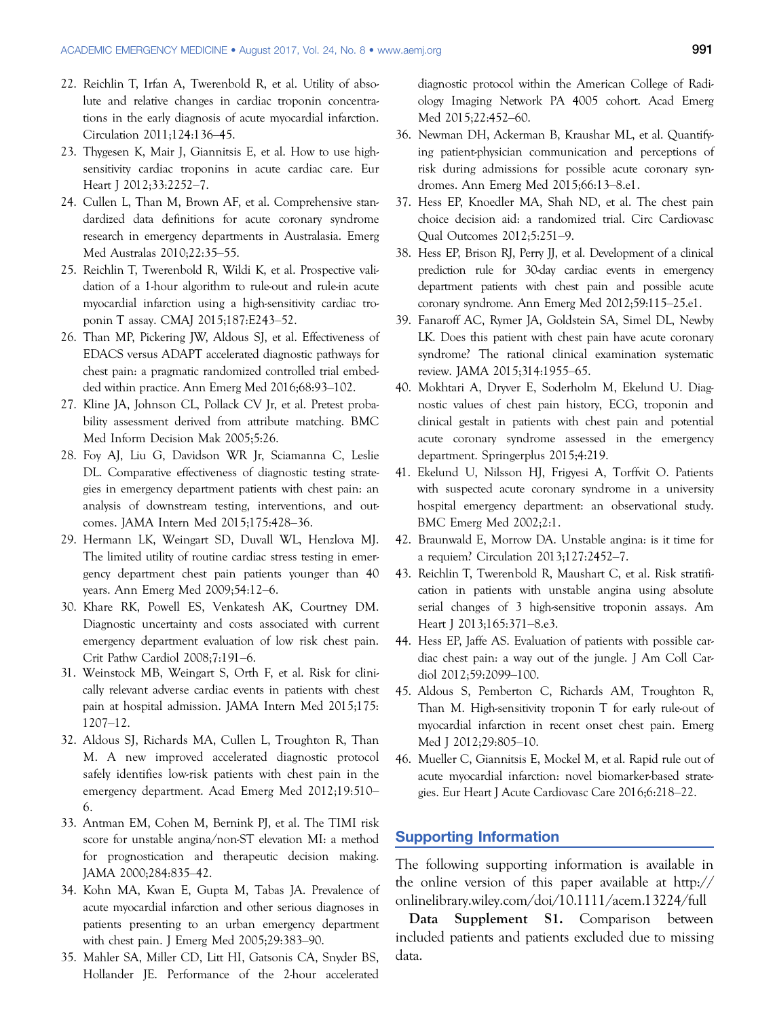- 22. Reichlin T, Irfan A, Twerenbold R, et al. Utility of absolute and relative changes in cardiac troponin concentrations in the early diagnosis of acute myocardial infarction. Circulation 2011;124:136–45.
- 23. Thygesen K, Mair J, Giannitsis E, et al. How to use highsensitivity cardiac troponins in acute cardiac care. Eur Heart J 2012;33:2252–7.
- 24. Cullen L, Than M, Brown AF, et al. Comprehensive standardized data definitions for acute coronary syndrome research in emergency departments in Australasia. Emerg Med Australas 2010;22:35–55.
- 25. Reichlin T, Twerenbold R, Wildi K, et al. Prospective validation of a 1-hour algorithm to rule-out and rule-in acute myocardial infarction using a high-sensitivity cardiac troponin T assay. CMAJ 2015;187:E243–52.
- 26. Than MP, Pickering JW, Aldous SJ, et al. Effectiveness of EDACS versus ADAPT accelerated diagnostic pathways for chest pain: a pragmatic randomized controlled trial embedded within practice. Ann Emerg Med 2016;68:93–102.
- 27. Kline JA, Johnson CL, Pollack CV Jr, et al. Pretest probability assessment derived from attribute matching. BMC Med Inform Decision Mak 2005;5:26.
- 28. Foy AJ, Liu G, Davidson WR Jr, Sciamanna C, Leslie DL. Comparative effectiveness of diagnostic testing strategies in emergency department patients with chest pain: an analysis of downstream testing, interventions, and outcomes. JAMA Intern Med 2015;175:428–36.
- 29. Hermann LK, Weingart SD, Duvall WL, Henzlova MJ. The limited utility of routine cardiac stress testing in emergency department chest pain patients younger than 40 years. Ann Emerg Med 2009;54:12–6.
- 30. Khare RK, Powell ES, Venkatesh AK, Courtney DM. Diagnostic uncertainty and costs associated with current emergency department evaluation of low risk chest pain. Crit Pathw Cardiol 2008;7:191–6.
- 31. Weinstock MB, Weingart S, Orth F, et al. Risk for clinically relevant adverse cardiac events in patients with chest pain at hospital admission. JAMA Intern Med 2015;175: 1207–12.
- 32. Aldous SJ, Richards MA, Cullen L, Troughton R, Than M. A new improved accelerated diagnostic protocol safely identifies low-risk patients with chest pain in the emergency department. Acad Emerg Med 2012;19:510– 6.
- 33. Antman EM, Cohen M, Bernink PJ, et al. The TIMI risk score for unstable angina/non-ST elevation MI: a method for prognostication and therapeutic decision making. JAMA 2000;284:835–42.
- 34. Kohn MA, Kwan E, Gupta M, Tabas JA. Prevalence of acute myocardial infarction and other serious diagnoses in patients presenting to an urban emergency department with chest pain. J Emerg Med 2005;29:383–90.
- 35. Mahler SA, Miller CD, Litt HI, Gatsonis CA, Snyder BS, Hollander JE. Performance of the 2-hour accelerated

diagnostic protocol within the American College of Radiology Imaging Network PA 4005 cohort. Acad Emerg Med 2015;22:452–60.

- 36. Newman DH, Ackerman B, Kraushar ML, et al. Quantifying patient-physician communication and perceptions of risk during admissions for possible acute coronary syndromes. Ann Emerg Med 2015;66:13–8.e1.
- 37. Hess EP, Knoedler MA, Shah ND, et al. The chest pain choice decision aid: a randomized trial. Circ Cardiovasc Qual Outcomes 2012;5:251–9.
- 38. Hess EP, Brison RJ, Perry JJ, et al. Development of a clinical prediction rule for 30-day cardiac events in emergency department patients with chest pain and possible acute coronary syndrome. Ann Emerg Med 2012;59:115–25.e1.
- 39. Fanaroff AC, Rymer JA, Goldstein SA, Simel DL, Newby LK. Does this patient with chest pain have acute coronary syndrome? The rational clinical examination systematic review. JAMA 2015;314:1955–65.
- 40. Mokhtari A, Dryver E, Soderholm M, Ekelund U. Diagnostic values of chest pain history, ECG, troponin and clinical gestalt in patients with chest pain and potential acute coronary syndrome assessed in the emergency department. Springerplus 2015;4:219.
- 41. Ekelund U, Nilsson HJ, Frigyesi A, Torffvit O. Patients with suspected acute coronary syndrome in a university hospital emergency department: an observational study. BMC Emerg Med 2002;2:1.
- 42. Braunwald E, Morrow DA. Unstable angina: is it time for a requiem? Circulation 2013;127:2452–7.
- 43. Reichlin T, Twerenbold R, Maushart C, et al. Risk stratification in patients with unstable angina using absolute serial changes of 3 high-sensitive troponin assays. Am Heart J 2013;165:371–8.e3.
- 44. Hess EP, Jaffe AS. Evaluation of patients with possible cardiac chest pain: a way out of the jungle. J Am Coll Cardiol 2012;59:2099–100.
- 45. Aldous S, Pemberton C, Richards AM, Troughton R, Than M. High-sensitivity troponin T for early rule-out of myocardial infarction in recent onset chest pain. Emerg Med J 2012;29:805–10.
- 46. Mueller C, Giannitsis E, Mockel M, et al. Rapid rule out of acute myocardial infarction: novel biomarker-based strategies. Eur Heart J Acute Cardiovasc Care 2016;6:218–22.

#### Supporting Information

The following supporting information is available in the online version of this paper available at [http://](http://onlinelibrary.wiley.com/doi/10.1111/acem.13224/full) [onlinelibrary.wiley.com/doi/10.1111/acem.13224/full](http://onlinelibrary.wiley.com/doi/10.1111/acem.13224/full)

Data Supplement S1. Comparison between included patients and patients excluded due to missing data.